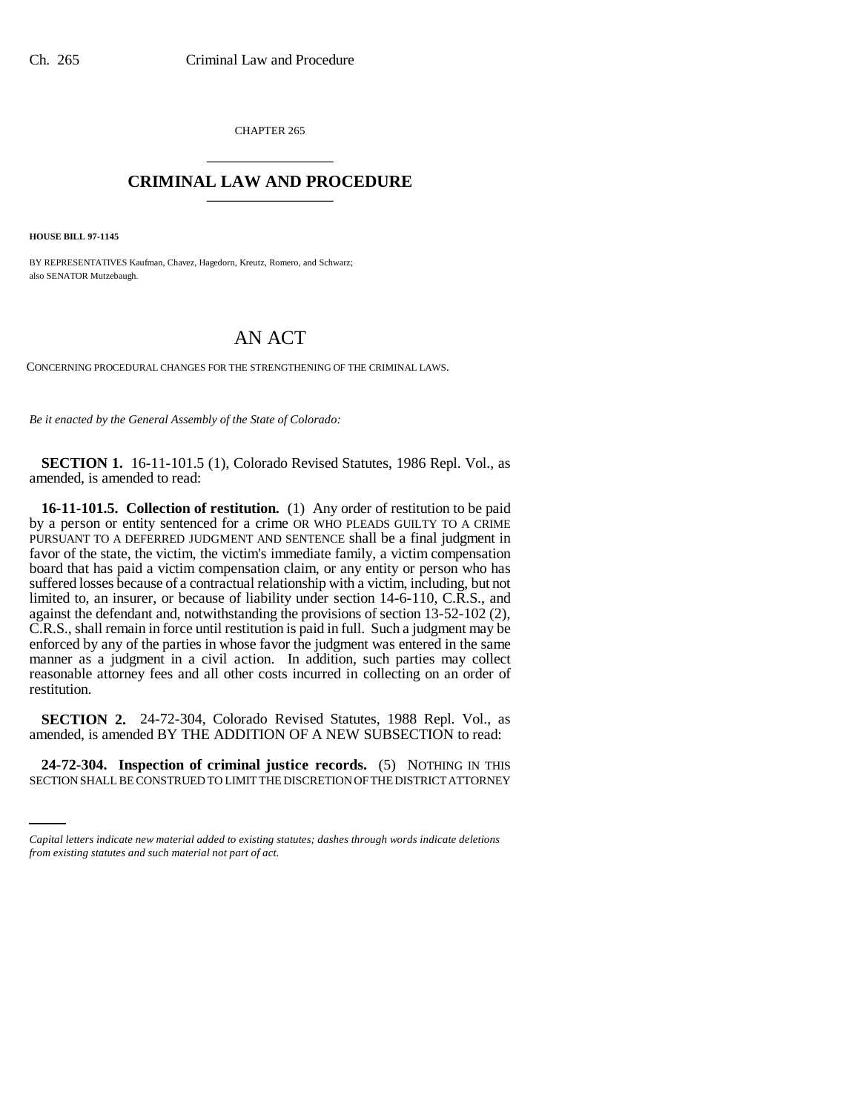CHAPTER 265 \_\_\_\_\_\_\_\_\_\_\_\_\_\_\_

## **CRIMINAL LAW AND PROCEDURE** \_\_\_\_\_\_\_\_\_\_\_\_\_\_\_

**HOUSE BILL 97-1145**

BY REPRESENTATIVES Kaufman, Chavez, Hagedorn, Kreutz, Romero, and Schwarz; also SENATOR Mutzebaugh.

## AN ACT

CONCERNING PROCEDURAL CHANGES FOR THE STRENGTHENING OF THE CRIMINAL LAWS.

*Be it enacted by the General Assembly of the State of Colorado:*

**SECTION 1.** 16-11-101.5 (1), Colorado Revised Statutes, 1986 Repl. Vol., as amended, is amended to read:

**16-11-101.5. Collection of restitution.** (1) Any order of restitution to be paid by a person or entity sentenced for a crime OR WHO PLEADS GUILTY TO A CRIME PURSUANT TO A DEFERRED JUDGMENT AND SENTENCE shall be a final judgment in favor of the state, the victim, the victim's immediate family, a victim compensation board that has paid a victim compensation claim, or any entity or person who has suffered losses because of a contractual relationship with a victim, including, but not limited to, an insurer, or because of liability under section 14-6-110, C.R.S., and against the defendant and, notwithstanding the provisions of section 13-52-102 (2), C.R.S., shall remain in force until restitution is paid in full. Such a judgment may be enforced by any of the parties in whose favor the judgment was entered in the same manner as a judgment in a civil action. In addition, such parties may collect reasonable attorney fees and all other costs incurred in collecting on an order of restitution.

**SECTION 2.** 24-72-304, Colorado Revised Statutes, 1988 Repl. Vol., as amended, is amended BY THE ADDITION OF A NEW SUBSECTION to read:

in<br>Salah **24-72-304. Inspection of criminal justice records.** (5) NOTHING IN THIS SECTION SHALL BE CONSTRUED TO LIMIT THE DISCRETION OF THE DISTRICT ATTORNEY

*Capital letters indicate new material added to existing statutes; dashes through words indicate deletions from existing statutes and such material not part of act.*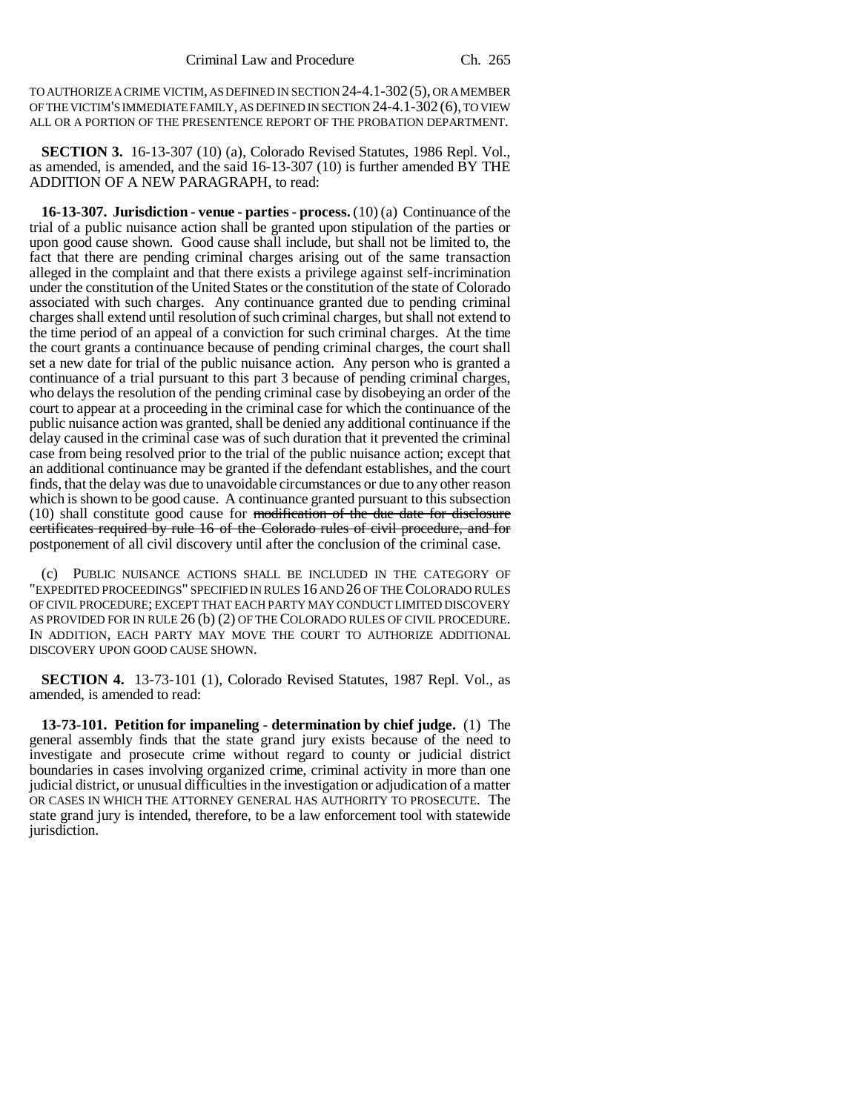TO AUTHORIZE A CRIME VICTIM, AS DEFINED IN SECTION 24-4.1-302(5), OR A MEMBER OF THE VICTIM'S IMMEDIATE FAMILY, AS DEFINED IN SECTION 24-4.1-302 (6), TO VIEW ALL OR A PORTION OF THE PRESENTENCE REPORT OF THE PROBATION DEPARTMENT.

**SECTION 3.** 16-13-307 (10) (a), Colorado Revised Statutes, 1986 Repl. Vol., as amended, is amended, and the said 16-13-307 (10) is further amended BY THE ADDITION OF A NEW PARAGRAPH, to read:

**16-13-307. Jurisdiction - venue - parties - process.** (10) (a) Continuance of the trial of a public nuisance action shall be granted upon stipulation of the parties or upon good cause shown. Good cause shall include, but shall not be limited to, the fact that there are pending criminal charges arising out of the same transaction alleged in the complaint and that there exists a privilege against self-incrimination under the constitution of the United States or the constitution of the state of Colorado associated with such charges. Any continuance granted due to pending criminal charges shall extend until resolution of such criminal charges, but shall not extend to the time period of an appeal of a conviction for such criminal charges. At the time the court grants a continuance because of pending criminal charges, the court shall set a new date for trial of the public nuisance action. Any person who is granted a continuance of a trial pursuant to this part 3 because of pending criminal charges, who delays the resolution of the pending criminal case by disobeying an order of the court to appear at a proceeding in the criminal case for which the continuance of the public nuisance action was granted, shall be denied any additional continuance if the delay caused in the criminal case was of such duration that it prevented the criminal case from being resolved prior to the trial of the public nuisance action; except that an additional continuance may be granted if the defendant establishes, and the court finds, that the delay was due to unavoidable circumstances or due to any other reason which is shown to be good cause. A continuance granted pursuant to this subsection (10) shall constitute good cause for modification of the due date for disclosure certificates required by rule 16 of the Colorado rules of civil procedure, and for postponement of all civil discovery until after the conclusion of the criminal case.

(c) PUBLIC NUISANCE ACTIONS SHALL BE INCLUDED IN THE CATEGORY OF "EXPEDITED PROCEEDINGS" SPECIFIED IN RULES 16 AND 26 OF THE COLORADO RULES OF CIVIL PROCEDURE; EXCEPT THAT EACH PARTY MAY CONDUCT LIMITED DISCOVERY AS PROVIDED FOR IN RULE 26 (b) (2) OF THE COLORADO RULES OF CIVIL PROCEDURE. IN ADDITION, EACH PARTY MAY MOVE THE COURT TO AUTHORIZE ADDITIONAL DISCOVERY UPON GOOD CAUSE SHOWN.

**SECTION 4.** 13-73-101 (1), Colorado Revised Statutes, 1987 Repl. Vol., as amended, is amended to read:

**13-73-101. Petition for impaneling - determination by chief judge.** (1) The general assembly finds that the state grand jury exists because of the need to investigate and prosecute crime without regard to county or judicial district boundaries in cases involving organized crime, criminal activity in more than one judicial district, or unusual difficulties in the investigation or adjudication of a matter OR CASES IN WHICH THE ATTORNEY GENERAL HAS AUTHORITY TO PROSECUTE. The state grand jury is intended, therefore, to be a law enforcement tool with statewide jurisdiction.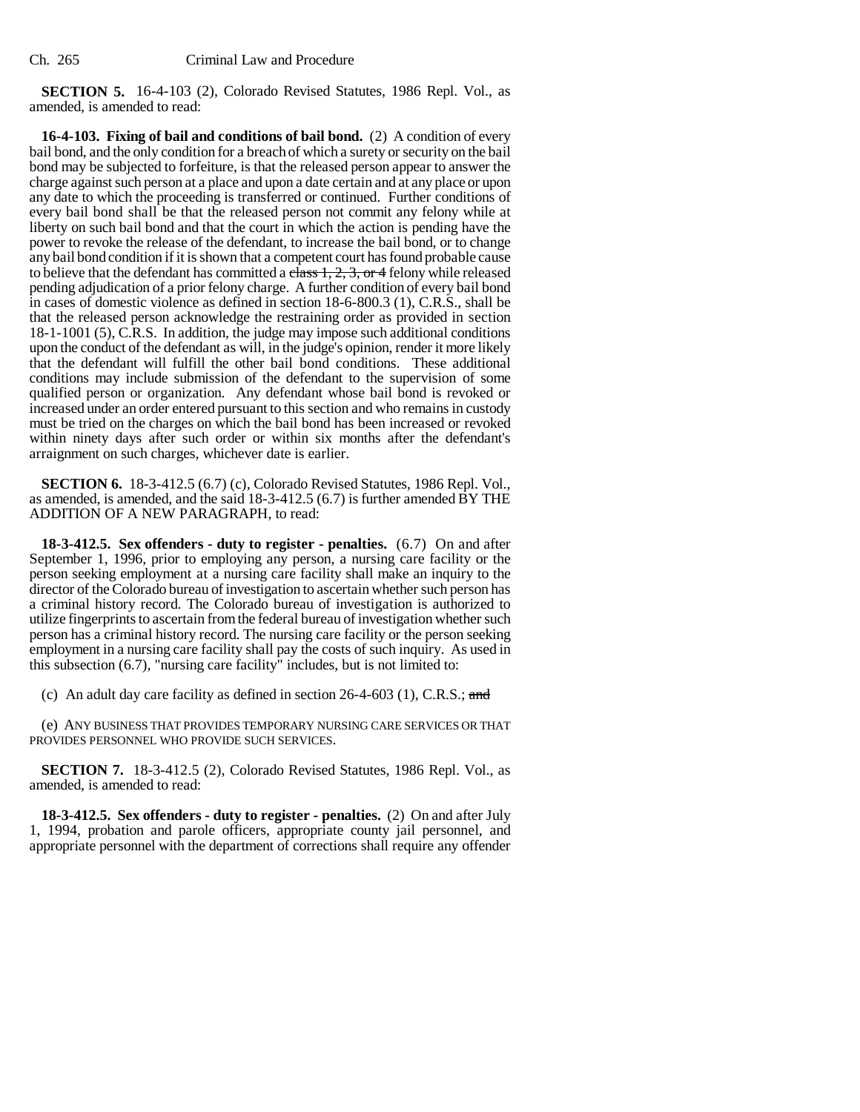**SECTION 5.** 16-4-103 (2), Colorado Revised Statutes, 1986 Repl. Vol., as amended, is amended to read:

**16-4-103. Fixing of bail and conditions of bail bond.** (2) A condition of every bail bond, and the only condition for a breach of which a surety or security on the bail bond may be subjected to forfeiture, is that the released person appear to answer the charge against such person at a place and upon a date certain and at any place or upon any date to which the proceeding is transferred or continued. Further conditions of every bail bond shall be that the released person not commit any felony while at liberty on such bail bond and that the court in which the action is pending have the power to revoke the release of the defendant, to increase the bail bond, or to change any bail bond condition if it is shown that a competent court has found probable cause to believe that the defendant has committed a  $\frac{1}{3}$ ,  $\frac{1}{2}$ ,  $\frac{1}{3}$ , or 4 felony while released pending adjudication of a prior felony charge. A further condition of every bail bond in cases of domestic violence as defined in section 18-6-800.3 (1), C.R.S., shall be that the released person acknowledge the restraining order as provided in section 18-1-1001 (5), C.R.S. In addition, the judge may impose such additional conditions upon the conduct of the defendant as will, in the judge's opinion, render it more likely that the defendant will fulfill the other bail bond conditions. These additional conditions may include submission of the defendant to the supervision of some qualified person or organization. Any defendant whose bail bond is revoked or increased under an order entered pursuant to this section and who remains in custody must be tried on the charges on which the bail bond has been increased or revoked within ninety days after such order or within six months after the defendant's arraignment on such charges, whichever date is earlier.

**SECTION 6.** 18-3-412.5 (6.7) (c), Colorado Revised Statutes, 1986 Repl. Vol., as amended, is amended, and the said 18-3-412.5 (6.7) is further amended BY THE ADDITION OF A NEW PARAGRAPH, to read:

**18-3-412.5. Sex offenders - duty to register - penalties.** (6.7) On and after September 1, 1996, prior to employing any person, a nursing care facility or the person seeking employment at a nursing care facility shall make an inquiry to the director of the Colorado bureau of investigation to ascertain whether such person has a criminal history record. The Colorado bureau of investigation is authorized to utilize fingerprints to ascertain from the federal bureau of investigation whether such person has a criminal history record. The nursing care facility or the person seeking employment in a nursing care facility shall pay the costs of such inquiry. As used in this subsection (6.7), "nursing care facility" includes, but is not limited to:

(c) An adult day care facility as defined in section 26-4-603 (1), C.R.S.; and

(e) ANY BUSINESS THAT PROVIDES TEMPORARY NURSING CARE SERVICES OR THAT PROVIDES PERSONNEL WHO PROVIDE SUCH SERVICES.

**SECTION 7.** 18-3-412.5 (2), Colorado Revised Statutes, 1986 Repl. Vol., as amended, is amended to read:

**18-3-412.5. Sex offenders - duty to register - penalties.** (2) On and after July 1, 1994, probation and parole officers, appropriate county jail personnel, and appropriate personnel with the department of corrections shall require any offender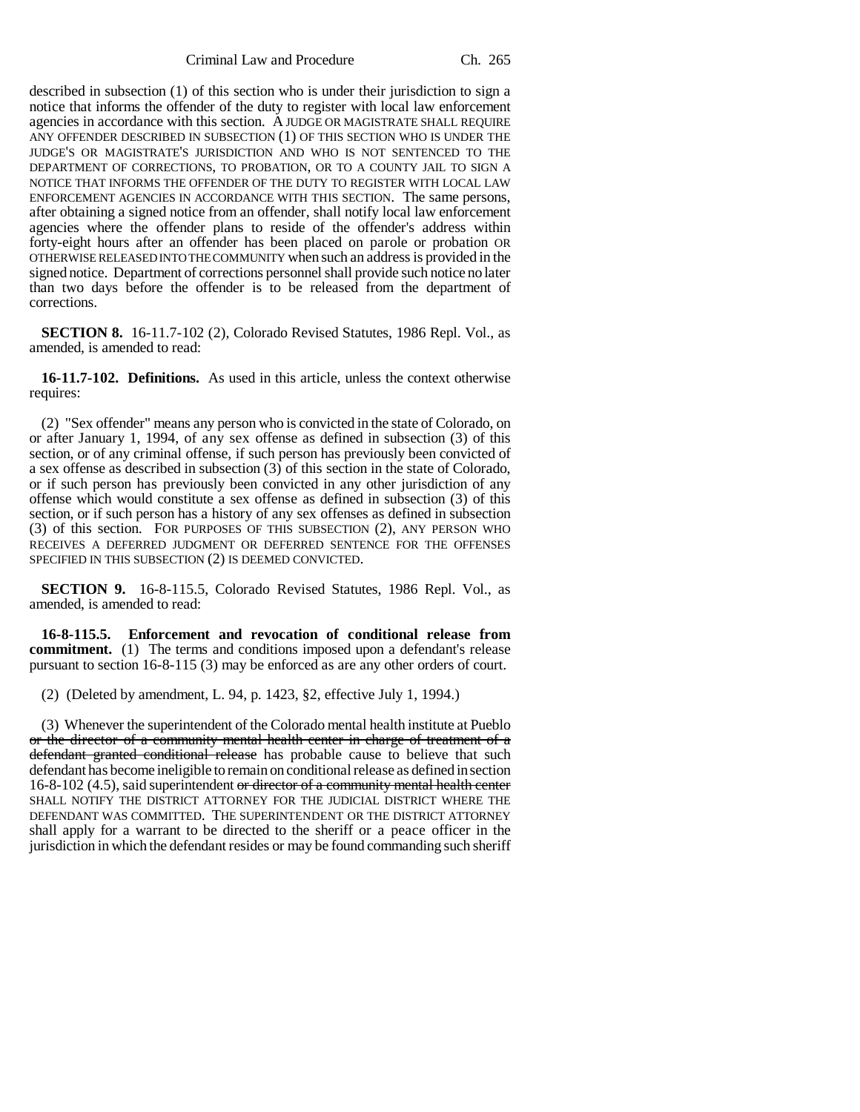Criminal Law and Procedure Ch. 265

described in subsection (1) of this section who is under their jurisdiction to sign a notice that informs the offender of the duty to register with local law enforcement agencies in accordance with this section. A JUDGE OR MAGISTRATE SHALL REQUIRE ANY OFFENDER DESCRIBED IN SUBSECTION (1) OF THIS SECTION WHO IS UNDER THE JUDGE'S OR MAGISTRATE'S JURISDICTION AND WHO IS NOT SENTENCED TO THE DEPARTMENT OF CORRECTIONS, TO PROBATION, OR TO A COUNTY JAIL TO SIGN A NOTICE THAT INFORMS THE OFFENDER OF THE DUTY TO REGISTER WITH LOCAL LAW ENFORCEMENT AGENCIES IN ACCORDANCE WITH THIS SECTION. The same persons, after obtaining a signed notice from an offender, shall notify local law enforcement agencies where the offender plans to reside of the offender's address within forty-eight hours after an offender has been placed on parole or probation OR OTHERWISE RELEASED INTO THE COMMUNITY when such an address is provided in the signed notice. Department of corrections personnel shall provide such notice no later than two days before the offender is to be released from the department of corrections.

**SECTION 8.** 16-11.7-102 (2), Colorado Revised Statutes, 1986 Repl. Vol., as amended, is amended to read:

**16-11.7-102. Definitions.** As used in this article, unless the context otherwise requires:

(2) "Sex offender" means any person who is convicted in the state of Colorado, on or after January 1, 1994, of any sex offense as defined in subsection (3) of this section, or of any criminal offense, if such person has previously been convicted of a sex offense as described in subsection (3) of this section in the state of Colorado, or if such person has previously been convicted in any other jurisdiction of any offense which would constitute a sex offense as defined in subsection (3) of this section, or if such person has a history of any sex offenses as defined in subsection (3) of this section. FOR PURPOSES OF THIS SUBSECTION (2), ANY PERSON WHO RECEIVES A DEFERRED JUDGMENT OR DEFERRED SENTENCE FOR THE OFFENSES SPECIFIED IN THIS SUBSECTION (2) IS DEEMED CONVICTED.

**SECTION 9.** 16-8-115.5, Colorado Revised Statutes, 1986 Repl. Vol., as amended, is amended to read:

**16-8-115.5. Enforcement and revocation of conditional release from commitment.** (1) The terms and conditions imposed upon a defendant's release pursuant to section 16-8-115 (3) may be enforced as are any other orders of court.

(2) (Deleted by amendment, L. 94, p. 1423, §2, effective July 1, 1994.)

(3) Whenever the superintendent of the Colorado mental health institute at Pueblo or the director of a community mental health center in charge of treatment of a defendant granted conditional release has probable cause to believe that such defendant has become ineligible to remain on conditional release as defined in section 16-8-102 (4.5), said superintendent or director of a community mental health center SHALL NOTIFY THE DISTRICT ATTORNEY FOR THE JUDICIAL DISTRICT WHERE THE DEFENDANT WAS COMMITTED. THE SUPERINTENDENT OR THE DISTRICT ATTORNEY shall apply for a warrant to be directed to the sheriff or a peace officer in the jurisdiction in which the defendant resides or may be found commanding such sheriff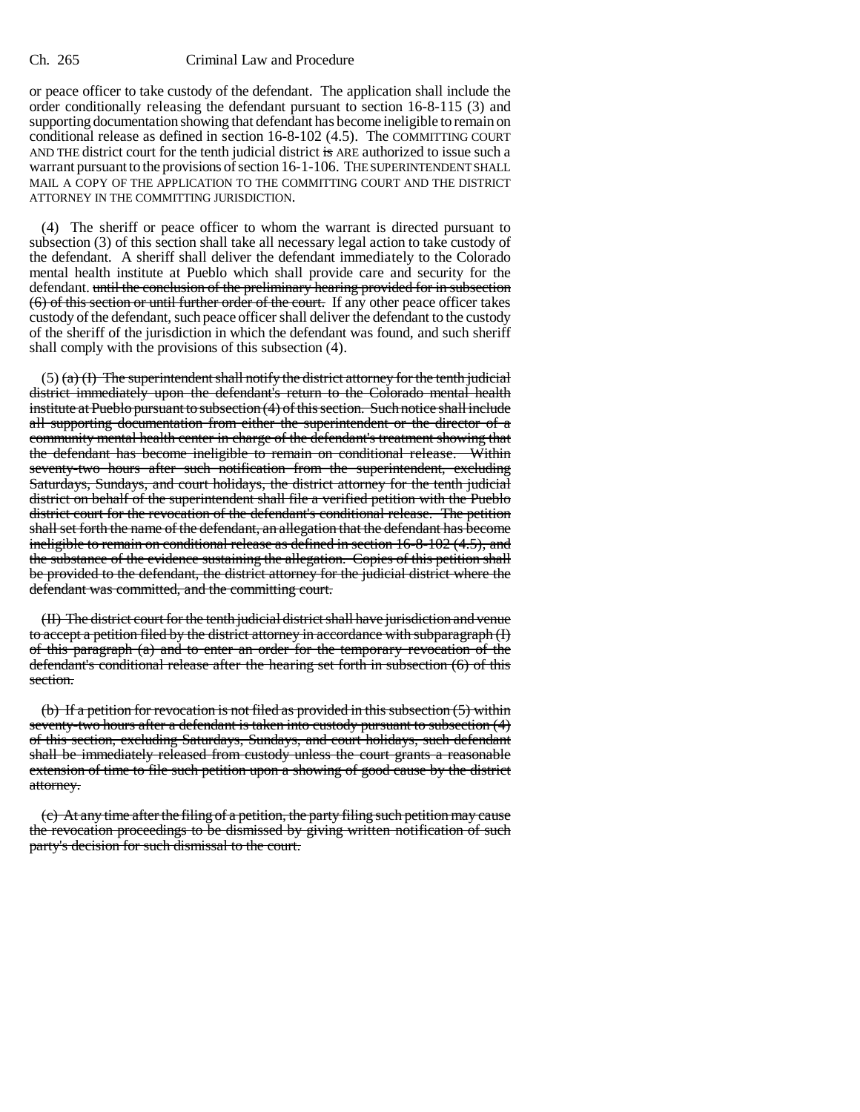## Ch. 265 Criminal Law and Procedure

or peace officer to take custody of the defendant. The application shall include the order conditionally releasing the defendant pursuant to section 16-8-115 (3) and supporting documentation showing that defendant has become ineligible to remain on conditional release as defined in section 16-8-102 (4.5). The COMMITTING COURT AND THE district court for the tenth judicial district is ARE authorized to issue such a warrant pursuant to the provisions of section 16-1-106. THE SUPERINTENDENT SHALL MAIL A COPY OF THE APPLICATION TO THE COMMITTING COURT AND THE DISTRICT ATTORNEY IN THE COMMITTING JURISDICTION.

(4) The sheriff or peace officer to whom the warrant is directed pursuant to subsection (3) of this section shall take all necessary legal action to take custody of the defendant. A sheriff shall deliver the defendant immediately to the Colorado mental health institute at Pueblo which shall provide care and security for the defendant. until the conclusion of the preliminary hearing provided for in subsection (6) of this section or until further order of the court. If any other peace officer takes custody of the defendant, such peace officer shall deliver the defendant to the custody of the sheriff of the jurisdiction in which the defendant was found, and such sheriff shall comply with the provisions of this subsection (4).

 $(5)$  (a) (I) The superintendent shall notify the district attorney for the tenth judicial district immediately upon the defendant's return to the Colorado mental health institute at Pueblo pursuant to subsection (4) of this section. Such notice shall include all supporting documentation from either the superintendent or the director of a community mental health center in charge of the defendant's treatment showing that the defendant has become ineligible to remain on conditional release. Within seventy-two hours after such notification from the superintendent, excluding Saturdays, Sundays, and court holidays, the district attorney for the tenth judicial district on behalf of the superintendent shall file a verified petition with the Pueblo district court for the revocation of the defendant's conditional release. The petition shall set forth the name of the defendant, an allegation that the defendant has become ineligible to remain on conditional release as defined in section 16-8-102 (4.5), and the substance of the evidence sustaining the allegation. Copies of this petition shall be provided to the defendant, the district attorney for the judicial district where the defendant was committed, and the committing court.

(II) The district court for the tenth judicial district shall have jurisdiction and venue to accept a petition filed by the district attorney in accordance with subparagraph (I) of this paragraph (a) and to enter an order for the temporary revocation of the defendant's conditional release after the hearing set forth in subsection (6) of this section.

(b) If a petition for revocation is not filed as provided in this subsection (5) within seventy-two hours after a defendant is taken into custody pursuant to subsection (4) of this section, excluding Saturdays, Sundays, and court holidays, such defendant shall be immediately released from custody unless the court grants a reasonable extension of time to file such petition upon a showing of good cause by the district attorney.

(c) At any time after the filing of a petition, the party filing such petition may cause the revocation proceedings to be dismissed by giving written notification of such party's decision for such dismissal to the court.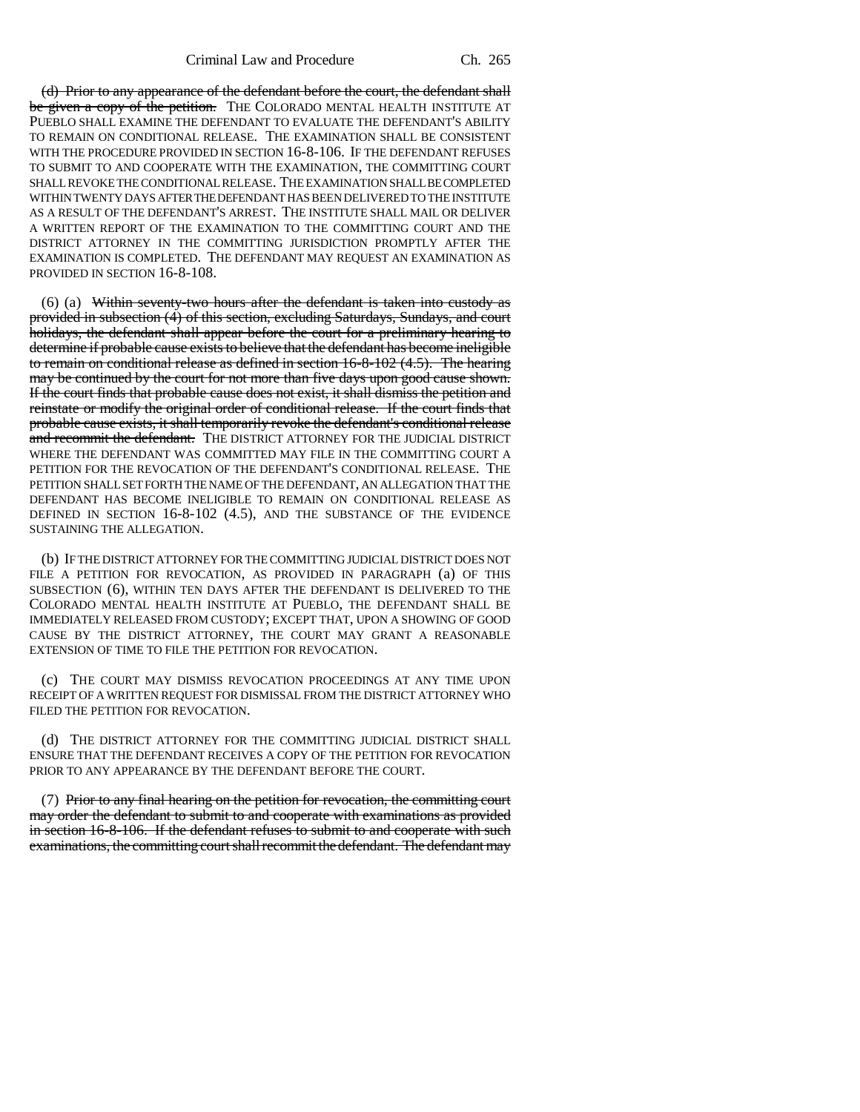(d) Prior to any appearance of the defendant before the court, the defendant shall be given a copy of the petition. THE COLORADO MENTAL HEALTH INSTITUTE AT PUEBLO SHALL EXAMINE THE DEFENDANT TO EVALUATE THE DEFENDANT'S ABILITY TO REMAIN ON CONDITIONAL RELEASE. THE EXAMINATION SHALL BE CONSISTENT WITH THE PROCEDURE PROVIDED IN SECTION 16-8-106. IF THE DEFENDANT REFUSES TO SUBMIT TO AND COOPERATE WITH THE EXAMINATION, THE COMMITTING COURT SHALL REVOKE THE CONDITIONAL RELEASE. THE EXAMINATION SHALL BE COMPLETED WITHIN TWENTY DAYS AFTER THE DEFENDANT HAS BEEN DELIVERED TO THE INSTITUTE AS A RESULT OF THE DEFENDANT'S ARREST. THE INSTITUTE SHALL MAIL OR DELIVER A WRITTEN REPORT OF THE EXAMINATION TO THE COMMITTING COURT AND THE DISTRICT ATTORNEY IN THE COMMITTING JURISDICTION PROMPTLY AFTER THE EXAMINATION IS COMPLETED. THE DEFENDANT MAY REQUEST AN EXAMINATION AS PROVIDED IN SECTION 16-8-108.

(6) (a) Within seventy-two hours after the defendant is taken into custody as provided in subsection (4) of this section, excluding Saturdays, Sundays, and court holidays, the defendant shall appear before the court for a preliminary hearing to determine if probable cause exists to believe that the defendant has become ineligible to remain on conditional release as defined in section 16-8-102 (4.5). The hearing may be continued by the court for not more than five days upon good cause shown. If the court finds that probable cause does not exist, it shall dismiss the petition and reinstate or modify the original order of conditional release. If the court finds that probable cause exists, it shall temporarily revoke the defendant's conditional release and recommit the defendant. THE DISTRICT ATTORNEY FOR THE JUDICIAL DISTRICT WHERE THE DEFENDANT WAS COMMITTED MAY FILE IN THE COMMITTING COURT A PETITION FOR THE REVOCATION OF THE DEFENDANT'S CONDITIONAL RELEASE. THE PETITION SHALL SET FORTH THE NAME OF THE DEFENDANT, AN ALLEGATION THAT THE DEFENDANT HAS BECOME INELIGIBLE TO REMAIN ON CONDITIONAL RELEASE AS DEFINED IN SECTION 16-8-102 (4.5), AND THE SUBSTANCE OF THE EVIDENCE SUSTAINING THE ALLEGATION.

(b) IF THE DISTRICT ATTORNEY FOR THE COMMITTING JUDICIAL DISTRICT DOES NOT FILE A PETITION FOR REVOCATION, AS PROVIDED IN PARAGRAPH (a) OF THIS SUBSECTION (6), WITHIN TEN DAYS AFTER THE DEFENDANT IS DELIVERED TO THE COLORADO MENTAL HEALTH INSTITUTE AT PUEBLO, THE DEFENDANT SHALL BE IMMEDIATELY RELEASED FROM CUSTODY; EXCEPT THAT, UPON A SHOWING OF GOOD CAUSE BY THE DISTRICT ATTORNEY, THE COURT MAY GRANT A REASONABLE EXTENSION OF TIME TO FILE THE PETITION FOR REVOCATION.

(c) THE COURT MAY DISMISS REVOCATION PROCEEDINGS AT ANY TIME UPON RECEIPT OF A WRITTEN REQUEST FOR DISMISSAL FROM THE DISTRICT ATTORNEY WHO FILED THE PETITION FOR REVOCATION.

(d) THE DISTRICT ATTORNEY FOR THE COMMITTING JUDICIAL DISTRICT SHALL ENSURE THAT THE DEFENDANT RECEIVES A COPY OF THE PETITION FOR REVOCATION PRIOR TO ANY APPEARANCE BY THE DEFENDANT BEFORE THE COURT.

(7) Prior to any final hearing on the petition for revocation, the committing court may order the defendant to submit to and cooperate with examinations as provided in section 16-8-106. If the defendant refuses to submit to and cooperate with such examinations, the committing court shall recommit the defendant. The defendant may